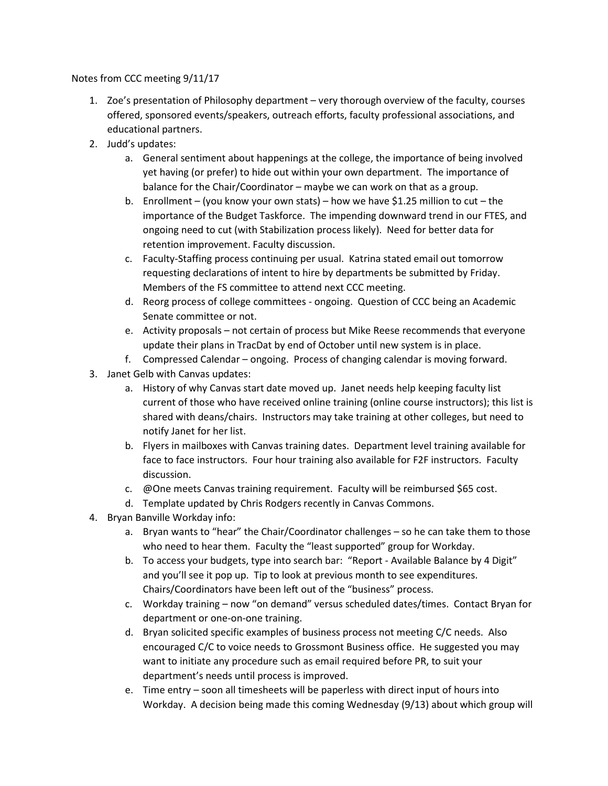Notes from CCC meeting 9/11/17

- 1. Zoe's presentation of Philosophy department very thorough overview of the faculty, courses offered, sponsored events/speakers, outreach efforts, faculty professional associations, and educational partners.
- 2. Judd's updates:
	- a. General sentiment about happenings at the college, the importance of being involved yet having (or prefer) to hide out within your own department. The importance of balance for the Chair/Coordinator – maybe we can work on that as a group.
	- b. Enrollment (you know your own stats) how we have \$1.25 million to cut the importance of the Budget Taskforce. The impending downward trend in our FTES, and ongoing need to cut (with Stabilization process likely). Need for better data for retention improvement. Faculty discussion.
	- c. Faculty-Staffing process continuing per usual. Katrina stated email out tomorrow requesting declarations of intent to hire by departments be submitted by Friday. Members of the FS committee to attend next CCC meeting.
	- d. Reorg process of college committees ongoing. Question of CCC being an Academic Senate committee or not.
	- e. Activity proposals not certain of process but Mike Reese recommends that everyone update their plans in TracDat by end of October until new system is in place.
	- f. Compressed Calendar ongoing. Process of changing calendar is moving forward.
- 3. Janet Gelb with Canvas updates:
	- a. History of why Canvas start date moved up. Janet needs help keeping faculty list current of those who have received online training (online course instructors); this list is shared with deans/chairs. Instructors may take training at other colleges, but need to notify Janet for her list.
	- b. Flyers in mailboxes with Canvas training dates. Department level training available for face to face instructors. Four hour training also available for F2F instructors. Faculty discussion.
	- c. @One meets Canvas training requirement. Faculty will be reimbursed \$65 cost.
	- d. Template updated by Chris Rodgers recently in Canvas Commons.
- 4. Bryan Banville Workday info:
	- a. Bryan wants to "hear" the Chair/Coordinator challenges so he can take them to those who need to hear them. Faculty the "least supported" group for Workday.
	- b. To access your budgets, type into search bar: "Report Available Balance by 4 Digit" and you'll see it pop up. Tip to look at previous month to see expenditures. Chairs/Coordinators have been left out of the "business" process.
	- c. Workday training now "on demand" versus scheduled dates/times. Contact Bryan for department or one-on-one training.
	- d. Bryan solicited specific examples of business process not meeting C/C needs. Also encouraged C/C to voice needs to Grossmont Business office. He suggested you may want to initiate any procedure such as email required before PR, to suit your department's needs until process is improved.
	- e. Time entry soon all timesheets will be paperless with direct input of hours into Workday. A decision being made this coming Wednesday (9/13) about which group will